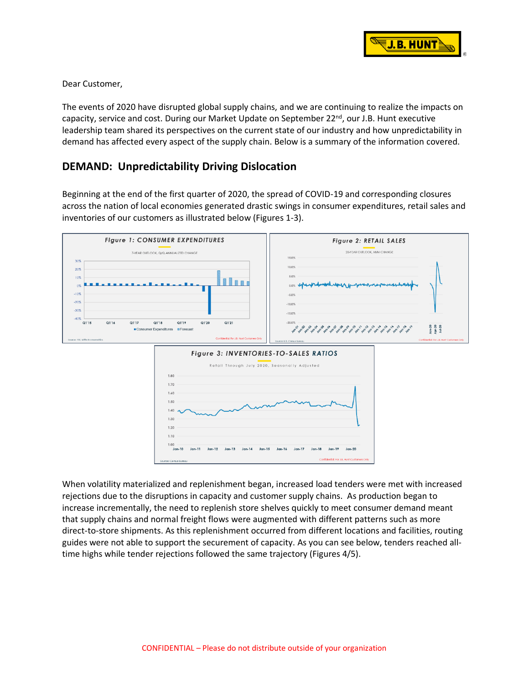

Dear Customer,

The events of 2020 have disrupted global supply chains, and we are continuing to realize the impacts on capacity, service and cost. During our Market Update on September 22<sup>nd</sup>, our J.B. Hunt executive leadership team shared its perspectives on the current state of our industry and how unpredictability in demand has affected every aspect of the supply chain. Below is a summary of the information covered.

## **DEMAND: Unpredictability Driving Dislocation**

Beginning at the end of the first quarter of 2020, the spread of COVID-19 and corresponding closures across the nation of local economies generated drastic swings in consumer expenditures, retail sales and inventories of our customers as illustrated below (Figures 1-3).



When volatility materialized and replenishment began, increased load tenders were met with increased rejections due to the disruptions in capacity and customer supply chains. As production began to increase incrementally, the need to replenish store shelves quickly to meet consumer demand meant that supply chains and normal freight flows were augmented with different patterns such as more direct-to-store shipments. As this replenishment occurred from different locations and facilities, routing guides were not able to support the securement of capacity. As you can see below, tenders reached alltime highs while tender rejections followed the same trajectory (Figures 4/5).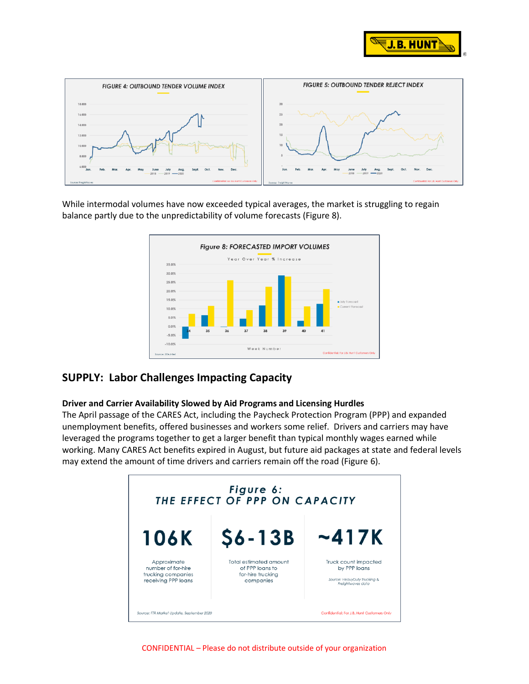



While intermodal volumes have now exceeded typical averages, the market is struggling to regain balance partly due to the unpredictability of volume forecasts (Figure 8).



# **SUPPLY: Labor Challenges Impacting Capacity**

#### **Driver and Carrier Availability Slowed by Aid Programs and Licensing Hurdles**

The April passage of the CARES Act, including the Paycheck Protection Program (PPP) and expanded unemployment benefits, offered businesses and workers some relief. Drivers and carriers may have leveraged the programs together to get a larger benefit than typical monthly wages earned while working. Many CARES Act benefits expired in August, but future aid packages at state and federal levels may extend the amount of time drivers and carriers remain off the road (Figure 6).



CONFIDENTIAL – Please do not distribute outside of your organization